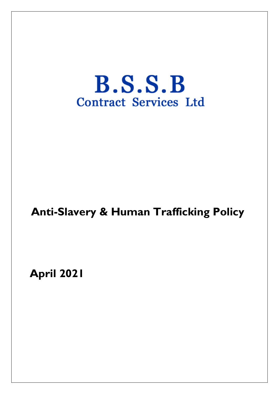# $B.S.S.B$ **Contract Services Ltd**

## **Anti-Slavery & Human Trafficking Policy**

**April 2021**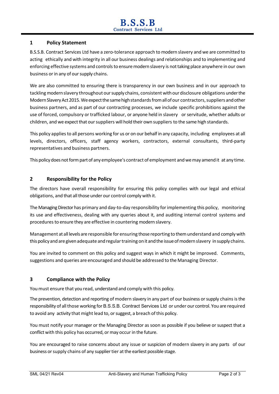#### **1 Policy Statement**

B.S.S.B. Contract Services Ltd have a zero-tolerance approach to modern slavery and we are committed to acting ethically and with integrity in all our business dealings and relationships and to implementing and enforcing effective systems and controls to ensure modern slavery is not taking place anywhere in our own business or in any of our supply chains.

We are also committed to ensuring there is transparency in our own business and in our approach to tackling modern slavery throughout our supply chains, consistent with our disclosure obligations under the Modern Slavery Act 2015. We expect the same high standards from all of our contractors, suppliers and other business partners, and as part of our contracting processes, we include specific prohibitions against the use of forced, compulsory or trafficked labour, or anyone held in slavery or servitude, whether adults or children, and we expect that our suppliers will hold their own suppliers to the same high standards.

This policy applies to all persons working for us or on our behalf in any capacity, including employees at all levels, directors, officers, staff agency workers, contractors, external consultants, third-party representatives and business partners.

This policy does not form part of any employee's contract of employment and we may amend it at any time.

#### **2 Responsibility for the Policy**

The directors have overall responsibility for ensuring this policy complies with our legal and ethical obligations, and that all those under our control comply with it.

The Managing Director has primary and day-to-day responsibility forimplementing this policy, monitoring its use and effectiveness, dealing with any queries about it, and auditing internal control systems and procedures to ensure they are effective in countering modern slavery.

Management at all levels are responsible for ensuring those reporting to themunderstand and comply with this policy and are given adequate and regular training on it and the issue of modern slavery in supply chains.

You are invited to comment on this policy and suggest ways in which it might be improved. Comments, suggestions and queries are encouraged and should be addressed to the Managing Director.

#### **3 Compliance with the Policy**

You must ensure that you read, understand and comply with this policy.

The prevention, detection and reporting of modern slavery in any part of our business or supply chains is the responsibility of all those working for B.S.S.B. Contract Services Ltd or under our control. You are required to avoid any activity that might lead to, or suggest, a breach of this policy.

You must notify your manager or the Managing Director as soon as possible if you believe or suspect that a conflict with this policy has occurred, or may occur in the future.

You are encouraged to raise concerns about any issue or suspicion of modern slavery in any parts of our business or supply chains of any supplier tier at the earliest possible stage.